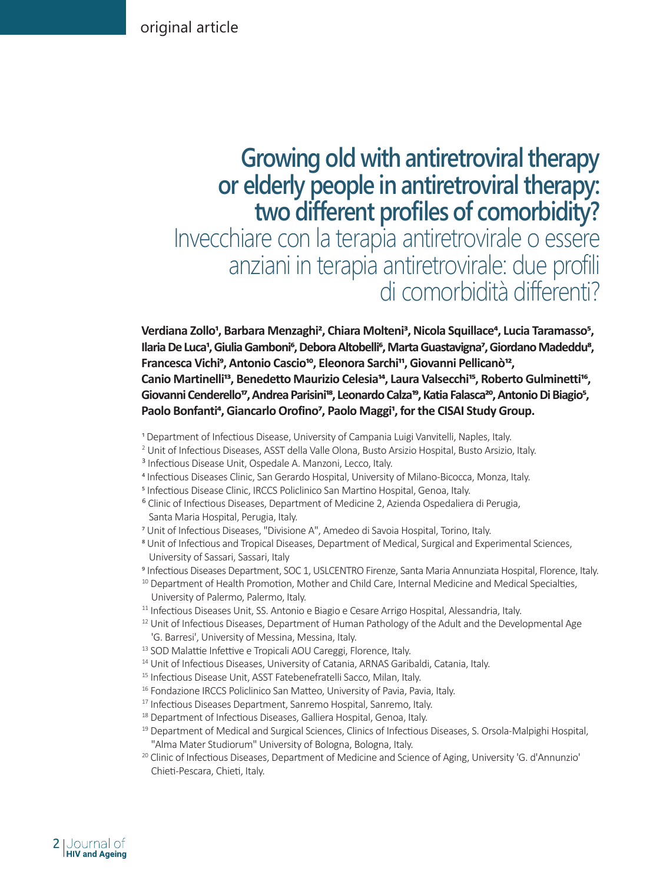# **Growing old with antiretroviral therapy or elderly people in antiretroviral therapy: two different profiles of comorbidity?** Invecchiare con la terapia antiretrovirale o essere anziani in terapia antiretrovirale: due profili di comorbidità differenti?

Verdiana Zollo<sup>1</sup>, Barbara Menzaghi<sup>2</sup>, Chiara Molteni<sup>3</sup>, Nicola Squillace<sup>4</sup>, Lucia Taramasso<sup>5</sup>, Ilaria De Luca<sup>1</sup>, Giulia Gamboni<sup>e</sup>, Debora Altobelli<sup>e</sup>, Marta Guastavigna<sup>7</sup>, Giordano Madeddu<sup>8</sup>, Francesca Vichi<sup>9</sup>, Antonio Cascio<sup>10</sup>, Eleonora Sarchi<sup>11</sup>, Giovanni Pellicanò<sup>12</sup>, Canio Martinelli<sup>13</sup>, Benedetto Maurizio Celesia<sup>14</sup>, Laura Valsecchi<sup>15</sup>, Roberto Gulminetti<sup>16</sup>, Giovanni Cenderello<sup>17</sup>, Andrea Parisini<sup>18</sup>, Leonardo Calza<sup>19</sup>, Katia Falasca<sup>20</sup>, Antonio Di Biagio<sup>5</sup>, Paolo Bonfanti<sup>4</sup>, Giancarlo Orofino<sup>7</sup>, Paolo Maggi<sup>1</sup>, for the CISAI Study Group.

- 1 Department of Infectious Disease, University of Campania Luigi Vanvitelli, Naples, Italy.
- 2 Unit of Infectious Diseases, ASST della Valle Olona, Busto Arsizio Hospital, Busto Arsizio, Italy.
- <sup>3</sup> Infectious Disease Unit, Ospedale A. Manzoni, Lecco, Italy.
- 4 Infectious Diseases Clinic, San Gerardo Hospital, University of Milano-Bicocca, Monza, Italy.
- 5 Infectious Disease Clinic, IRCCS Policlinico San Martino Hospital, Genoa, Italy.
- ⁶ Clinic of Infectious Diseases, Department of Medicine 2, Azienda Ospedaliera di Perugia, Santa Maria Hospital, Perugia, Italy.
- 7 Unit of Infectious Diseases, "Divisione A", Amedeo di Savoia Hospital, Torino, Italy.
- 8 Unit of Infectious and Tropical Diseases, Department of Medical, Surgical and Experimental Sciences, University of Sassari, Sassari, Italy
- 9 Infectious Diseases Department, SOC 1, USLCENTRO Firenze, Santa Maria Annunziata Hospital, Florence, Italy.
- <sup>10</sup> Department of Health Promotion, Mother and Child Care, Internal Medicine and Medical Specialties, University of Palermo, Palermo, Italy.
- <sup>11</sup> Infectious Diseases Unit, SS. Antonio e Biagio e Cesare Arrigo Hospital, Alessandria, Italy.
- <sup>12</sup> Unit of Infectious Diseases, Department of Human Pathology of the Adult and the Developmental Age 'G. Barresi', University of Messina, Messina, Italy.
- <sup>13</sup> SOD Malattie Infettive e Tropicali AOU Careggi, Florence, Italy.
- <sup>14</sup> Unit of Infectious Diseases, University of Catania, ARNAS Garibaldi, Catania, Italy.
- <sup>15</sup> Infectious Disease Unit, ASST Fatebenefratelli Sacco, Milan, Italy.
- <sup>16</sup> Fondazione IRCCS Policlinico San Matteo, University of Pavia, Pavia, Italy.
- <sup>17</sup> Infectious Diseases Department, Sanremo Hospital, Sanremo, Italy.
- <sup>18</sup> Department of Infectious Diseases, Galliera Hospital, Genoa, Italy.
- <sup>19</sup> Department of Medical and Surgical Sciences, Clinics of Infectious Diseases, S. Orsola-Malpighi Hospital, "Alma Mater Studiorum" University of Bologna, Bologna, Italy.
- <sup>20</sup> Clinic of Infectious Diseases, Department of Medicine and Science of Aging, University 'G. d'Annunzio' Chieti-Pescara, Chieti, Italy.

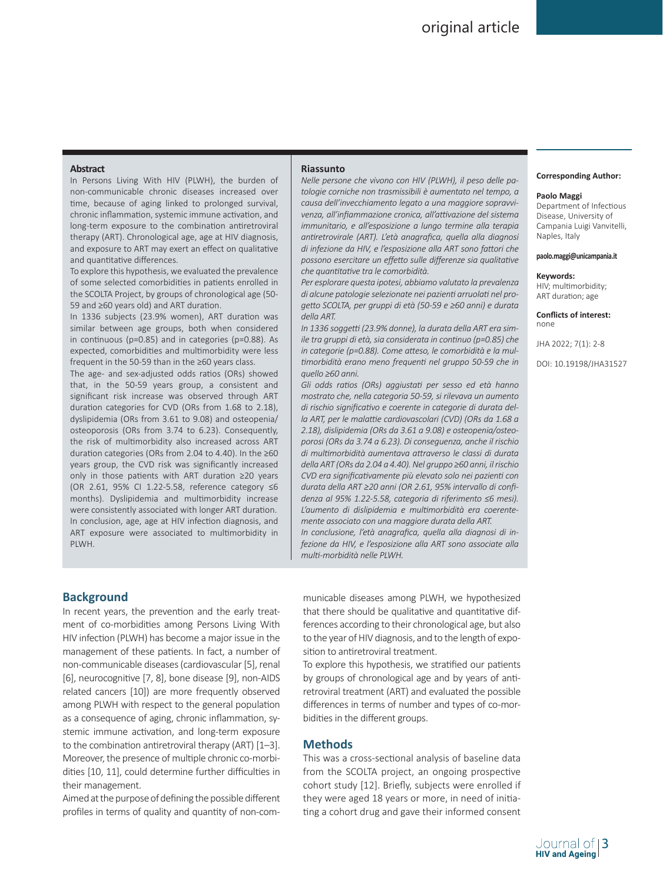## **Abstract**

In Persons Living With HIV (PLWH), the burden of non-communicable chronic diseases increased over time, because of aging linked to prolonged survival, chronic inflammation, systemic immune activation, and long-term exposure to the combination antiretroviral therapy (ART). Chronological age, age at HIV diagnosis, and exposure to ART may exert an effect on qualitative and quantitative differences.

To explore this hypothesis, we evaluated the prevalence of some selected comorbidities in patients enrolled in the SCOLTA Project, by groups of chronological age (50- 59 and ≥60 years old) and ART duration.

In 1336 subjects (23.9% women), ART duration was similar between age groups, both when considered in continuous (p=0.85) and in categories (p=0.88). As expected, comorbidities and multimorbidity were less frequent in the 50-59 than in the ≥60 years class.

The age- and sex-adjusted odds ratios (ORs) showed that, in the 50-59 years group, a consistent and significant risk increase was observed through ART duration categories for CVD (ORs from 1.68 to 2.18), dyslipidemia (ORs from 3.61 to 9.08) and osteopenia/ osteoporosis (ORs from 3.74 to 6.23). Consequently, the risk of multimorbidity also increased across ART duration categories (ORs from 2.04 to 4.40). In the ≥60 years group, the CVD risk was significantly increased only in those patients with ART duration ≥20 years (OR 2.61, 95% CI 1.22-5.58, reference category ≤6 months). Dyslipidemia and multimorbidity increase were consistently associated with longer ART duration. In conclusion, age, age at HIV infection diagnosis, and ART exposure were associated to multimorbidity in PLWH.

#### **Riassunto**

*Nelle persone che vivono con HIV (PLWH), il peso delle patologie corniche non trasmissibili è aumentato nel tempo, a causa dell'invecchiamento legato a una maggiore sopravvivenza, all'infiammazione cronica, all'attivazione del sistema immunitario, e all'esposizione a lungo termine alla terapia antiretrovirale (ART). L'età anagrafica, quella alla diagnosi di infezione da HIV, e l'esposizione alla ART sono fattori che possono esercitare un effetto sulle differenze sia qualitative che quantitative tra le comorbidità.*

*Per esplorare questa ipotesi, abbiamo valutato la prevalenza di alcune patologie selezionate nei pazienti arruolati nel progetto SCOLTA, per gruppi di età (50-59 e ≥60 anni) e durata della ART.* 

*In 1336 soggetti (23.9% donne), la durata della ART era simile tra gruppi di età, sia considerata in continuo (p=0.85) che in categorie (p=0.88). Come atteso, le comorbidità e la multimorbidità erano meno frequenti nel gruppo 50-59 che in quello ≥60 anni.* 

*Gli odds ratios (ORs) aggiustati per sesso ed età hanno mostrato che, nella categoria 50-59, si rilevava un aumento di rischio significativo e coerente in categorie di durata della ART, per le malattie cardiovascolari (CVD) (ORs da 1.68 a 2.18), dislipidemia (ORs da 3.61 a 9.08) e osteopenia/osteoporosi (ORs da 3.74 a 6.23). Di conseguenza, anche il rischio di multimorbidità aumentava attraverso le classi di durata della ART (ORs da 2.04 a 4.40). Nel gruppo ≥60 anni, il rischio CVD era significativamente più elevato solo nei pazienti con durata della ART ≥20 anni (OR 2.61, 95% intervallo di confidenza al 95% 1.22-5.58, categoria di riferimento ≤6 mesi). L'aumento di dislipidemia e multimorbidità era coerentemente associato con una maggiore durata della ART.*

*In conclusione, l'età anagrafica, quella alla diagnosi di infezione da HIV, e l'esposizione alla ART sono associate alla multi-morbidità nelle PLWH.*

#### **Corresponding Author:**

#### **Paolo Maggi**

Department of Infectious Disease, University of Campania Luigi Vanvitelli, Naples, Italy

### **paolo.maggi@unicampania.it**

#### **Keywords:**

HIV; multimorbidity; ART duration; age

**Conflicts of interest:**  none

JHA 2022; 7(1): 2-8

DOI: 10.19198/JHA31527

# **Background**

In recent years, the prevention and the early treatment of co-morbidities among Persons Living With HIV infection (PLWH) has become a major issue in the management of these patients. In fact, a number of non-communicable diseases (cardiovascular [5], renal [6], neurocognitive [7, 8], bone disease [9], non-AIDS related cancers [10]) are more frequently observed among PLWH with respect to the general population as a consequence of aging, chronic inflammation, systemic immune activation, and long-term exposure to the combination antiretroviral therapy (ART) [1–3]. Moreover, the presence of multiple chronic co-morbidities [10, 11], could determine further difficulties in their management.

Aimed at the purpose of defining the possible different profiles in terms of quality and quantity of non-communicable diseases among PLWH, we hypothesized that there should be qualitative and quantitative differences according to their chronological age, but also to the year of HIV diagnosis, and to the length of exposition to antiretroviral treatment.

To explore this hypothesis, we stratified our patients by groups of chronological age and by years of antiretroviral treatment (ART) and evaluated the possible differences in terms of number and types of co-morbidities in the different groups.

### **Methods**

This was a cross-sectional analysis of baseline data from the SCOLTA project, an ongoing prospective cohort study [12]. Briefly, subjects were enrolled if they were aged 18 years or more, in need of initiating a cohort drug and gave their informed consent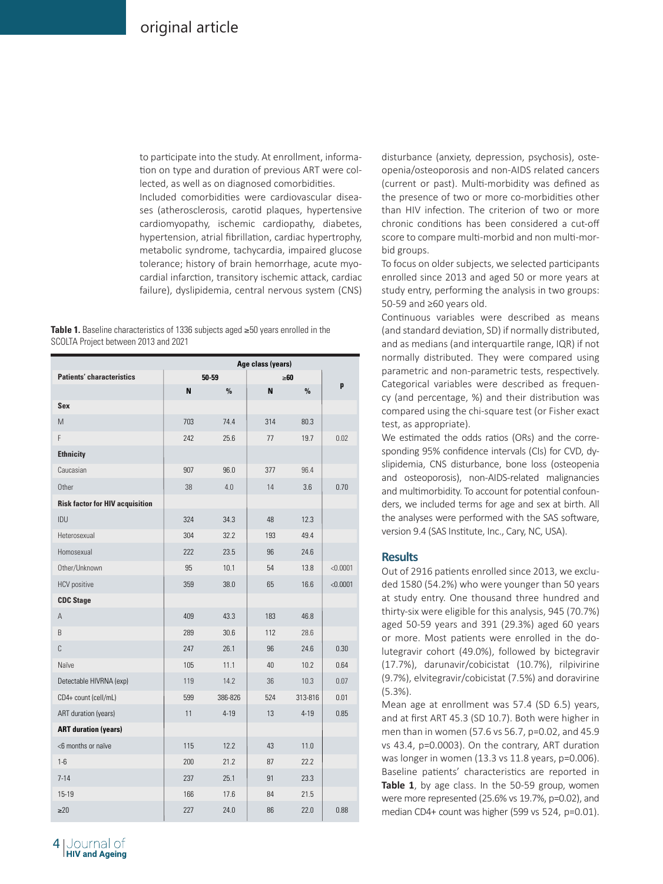to participate into the study. At enrollment, information on type and duration of previous ART were collected, as well as on diagnosed comorbidities. Included comorbidities were cardiovascular diseases (atherosclerosis, carotid plaques, hypertensive cardiomyopathy, ischemic cardiopathy, diabetes, hypertension, atrial fibrillation, cardiac hypertrophy, metabolic syndrome, tachycardia, impaired glucose tolerance; history of brain hemorrhage, acute myocardial infarction, transitory ischemic attack, cardiac failure), dyslipidemia, central nervous system (CNS)

|  | <b>Table 1.</b> Baseline characteristics of 1336 subjects aged $\geq$ 50 years enrolled in the |  |  |  |  |
|--|------------------------------------------------------------------------------------------------|--|--|--|--|
|  | SCOLTA Project between 2013 and 2021                                                           |  |  |  |  |

|                                        | Age class (years) |          |     |               |          |  |
|----------------------------------------|-------------------|----------|-----|---------------|----------|--|
| <b>Patients' characteristics</b>       |                   | 50-59    |     | $\geq 60$     |          |  |
|                                        | N                 | $\%$     | N   | $\frac{9}{6}$ | p        |  |
| Sex                                    |                   |          |     |               |          |  |
| M                                      | 703               | 74.4     | 314 | 80.3          |          |  |
| F                                      | 242               | 25.6     | 77  | 19.7          | 0.02     |  |
| <b>Ethnicity</b>                       |                   |          |     |               |          |  |
| Caucasian                              | 907               | 96.0     | 377 | 96.4          |          |  |
| Other                                  | 38                | 4.0      | 14  | 3.6           | 0.70     |  |
| <b>Risk factor for HIV acquisition</b> |                   |          |     |               |          |  |
| IDU                                    | 324               | 34.3     | 48  | 12.3          |          |  |
| Heterosexual                           | 304               | 32.2     | 193 | 49.4          |          |  |
| Homosexual                             | 222               | 23.5     | 96  | 24.6          |          |  |
| Other/Unknown                          | 95                | 10.1     | 54  | 13.8          | < 0.0001 |  |
| <b>HCV</b> positive                    | 359               | 38.0     | 65  | 16.6          | < 0.0001 |  |
| <b>CDC Stage</b>                       |                   |          |     |               |          |  |
| Α                                      | 409               | 43.3     | 183 | 46.8          |          |  |
| B                                      | 289               | 30.6     | 112 | 28.6          |          |  |
| $\mathbb C$                            | 247               | 26.1     | 96  | 24.6          | 0.30     |  |
| Naïve                                  | 105               | 11.1     | 40  | 10.2          | 0.64     |  |
| Detectable HIVRNA (exp)                | 119               | 14.2     | 36  | 10.3          | 0.07     |  |
| CD4+ count (cell/mL)                   | 599               | 386-826  | 524 | 313-816       | 0.01     |  |
| ART duration (years)                   | 11                | $4 - 19$ | 13  | $4 - 19$      | 0.85     |  |
| <b>ART duration (years)</b>            |                   |          |     |               |          |  |
| <6 months or naïve                     | 115               | 12.2     | 43  | 11.0          |          |  |
| $1-6$                                  | 200               | 21.2     | 87  | 22.2          |          |  |
| $7 - 14$                               | 237               | 25.1     | 91  | 23.3          |          |  |
| $15-19$                                | 166               | 17.6     | 84  | 21.5          |          |  |
| $\geq 20$                              | 227               | 24.0     | 86  | 22.0          | 0.88     |  |

disturbance (anxiety, depression, psychosis), osteopenia/osteoporosis and non-AIDS related cancers (current or past). Multi-morbidity was defined as the presence of two or more co-morbidities other than HIV infection. The criterion of two or more chronic conditions has been considered a cut-off score to compare multi-morbid and non multi-morbid groups.

To focus on older subjects, we selected participants enrolled since 2013 and aged 50 or more years at study entry, performing the analysis in two groups: 50-59 and ≥60 years old.

Continuous variables were described as means (and standard deviation, SD) if normally distributed, and as medians (and interquartile range, IQR) if not normally distributed. They were compared using parametric and non-parametric tests, respectively. Categorical variables were described as frequency (and percentage, %) and their distribution was compared using the chi-square test (or Fisher exact test, as appropriate).

We estimated the odds ratios (ORs) and the corresponding 95% confidence intervals (CIs) for CVD, dyslipidemia, CNS disturbance, bone loss (osteopenia and osteoporosis), non-AIDS-related malignancies and multimorbidity. To account for potential confounders, we included terms for age and sex at birth. All the analyses were performed with the SAS software, version 9.4 (SAS Institute, Inc., Cary, NC, USA).

# **Results**

Out of 2916 patients enrolled since 2013, we excluded 1580 (54.2%) who were younger than 50 years at study entry. One thousand three hundred and thirty-six were eligible for this analysis, 945 (70.7%) aged 50-59 years and 391 (29.3%) aged 60 years or more. Most patients were enrolled in the dolutegravir cohort (49.0%), followed by bictegravir (17.7%), darunavir/cobicistat (10.7%), rilpivirine (9.7%), elvitegravir/cobicistat (7.5%) and doravirine (5.3%).

Mean age at enrollment was 57.4 (SD 6.5) years, and at first ART 45.3 (SD 10.7). Both were higher in men than in women (57.6 vs 56.7, p=0.02, and 45.9 vs 43.4, p=0.0003). On the contrary, ART duration was longer in women (13.3 vs 11.8 years, p=0.006). Baseline patients' characteristics are reported in **Table 1**, by age class. In the 50-59 group, women were more represented (25.6% vs 19.7%, p=0.02), and median CD4+ count was higher (599 vs 524, p=0.01).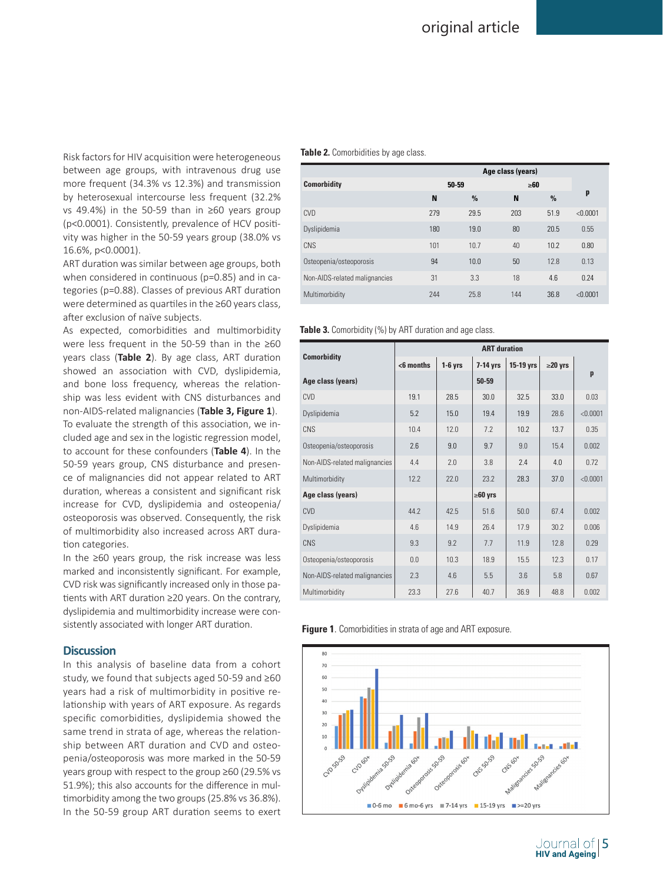Risk factors for HIV acquisition were heterogeneous between age groups, with intravenous drug use more frequent (34.3% vs 12.3%) and transmission by heterosexual intercourse less frequent (32.2% vs 49.4%) in the 50-59 than in ≥60 years group (p<0.0001). Consistently, prevalence of HCV positivity was higher in the 50-59 years group (38.0% vs 16.6%, p<0.0001).

ART duration was similar between age groups, both when considered in continuous (p=0.85) and in categories (p=0.88). Classes of previous ART duration were determined as quartiles in the ≥60 years class, after exclusion of naïve subjects.

As expected, comorbidities and multimorbidity were less frequent in the 50-59 than in the ≥60 years class (**Table 2**). By age class, ART duration showed an association with CVD, dyslipidemia, and bone loss frequency, whereas the relationship was less evident with CNS disturbances and non-AIDS-related malignancies (**Table 3, Figure 1**). To evaluate the strength of this association, we included age and sex in the logistic regression model, to account for these confounders (**Table 4**). In the 50-59 years group, CNS disturbance and presence of malignancies did not appear related to ART duration, whereas a consistent and significant risk increase for CVD, dyslipidemia and osteopenia/ osteoporosis was observed. Consequently, the risk of multimorbidity also increased across ART duration categories.

In the ≥60 years group, the risk increase was less marked and inconsistently significant. For example, CVD risk was significantly increased only in those patients with ART duration ≥20 years. On the contrary, dyslipidemia and multimorbidity increase were consistently associated with longer ART duration.

# **Discussion**

In this analysis of baseline data from a cohort study, we found that subjects aged 50-59 and ≥60 years had a risk of multimorbidity in positive relationship with years of ART exposure. As regards specific comorbidities, dyslipidemia showed the same trend in strata of age, whereas the relationship between ART duration and CVD and osteopenia/osteoporosis was more marked in the 50-59 years group with respect to the group ≥60 (29.5% vs 51.9%); this also accounts for the difference in multimorbidity among the two groups (25.8% vs 36.8%). In the 50-59 group ART duration seems to exert

## **Table 2.** Comorbidities by age class.

|                               | Age class (years) |       |           |      |          |  |
|-------------------------------|-------------------|-------|-----------|------|----------|--|
| <b>Comorbidity</b>            |                   | 50-59 | $\geq 60$ |      |          |  |
|                               | N                 | $\%$  | N         | $\%$ | p        |  |
| <b>CVD</b>                    | 279               | 29.5  | 203       | 51.9 | < 0.0001 |  |
| Dyslipidemia                  | 180               | 19.0  | 80        | 20.5 | 0.55     |  |
| CNS                           | 101               | 10.7  | 40        | 10.2 | 0.80     |  |
| Osteopenia/osteoporosis       | 94                | 10.0  | 50        | 12.8 | 0.13     |  |
| Non-AIDS-related malignancies | 31                | 3.3   | 18        | 4.6  | 0.24     |  |
| Multimorbidity                | 244               | 25.8  | 144       | 36.8 | < 0.0001 |  |

#### **Table 3.** Comorbidity (%) by ART duration and age class.

|                               | <b>ART</b> duration       |      |                         |      |               |          |  |
|-------------------------------|---------------------------|------|-------------------------|------|---------------|----------|--|
| <b>Comorbidity</b>            | $<$ 6 months<br>$1-6$ yrs |      | 15-19 yrs<br>$7-14$ yrs |      | $\geq$ 20 yrs |          |  |
| Age class (years)             |                           |      | $50 - 59$               |      |               | p        |  |
| <b>CVD</b>                    | 19.1                      | 28.5 | 30.0                    | 32.5 | 33.0          | 0.03     |  |
| Dyslipidemia                  | 5.2                       | 15.0 | 19.4                    | 19.9 | 28.6          | < 0.0001 |  |
| CNS                           | 10.4                      | 12.0 | 7.2                     | 10.2 | 13.7          | 0.35     |  |
| Osteopenia/osteoporosis       | 2.6                       | 9.0  | 9.7                     | 9.0  | 15.4          | 0.002    |  |
| Non-AIDS-related malignancies | 4.4                       | 2.0  | 3.8                     | 7.4  | 4.0           | 0.72     |  |
| Multimorbidity                | 12.2                      | 22.0 | 23.2                    | 28.3 | 37.0          | < 0.0001 |  |
| Age class (years)             |                           |      | $\geq 60$ yrs           |      |               |          |  |
| <b>CVD</b>                    | 44.2                      | 42.5 | 51.6                    | 50.0 | 67.4          | 0.002    |  |
| Dyslipidemia                  | 4.6                       | 14.9 | 26.4                    | 17.9 | 30.2          | 0.006    |  |
| <b>CNS</b>                    | 9.3                       | 9.2  | 7.7                     | 11.9 | 12.8          | 0.29     |  |
| Osteopenia/osteoporosis       | 0.0                       | 10.3 | 18.9                    | 15.5 | 12.3          | 0.17     |  |
| Non-AIDS-related malignancies | 2.3                       | 4.6  | 5.5                     | 3.6  | 5.8           | 0.67     |  |
| Multimorbidity                | 23.3                      | 27.6 | 40.7                    | 36.9 | 48.8          | 0.002    |  |

**Figure 1**. Comorbidities in strata of age and ART exposure.



Journal of [**5** 

**HIV and Ageing**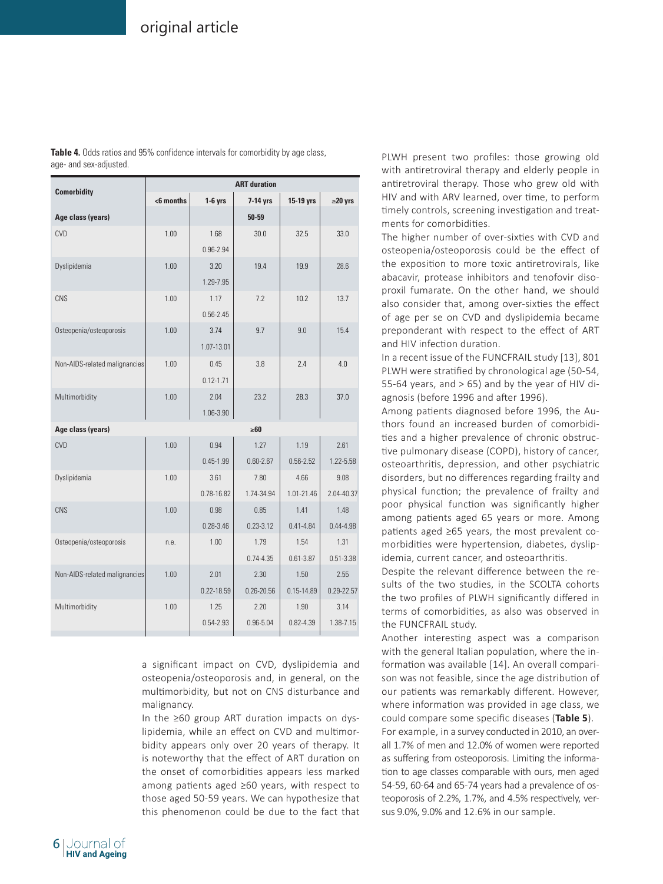|                               | <b>ART</b> duration |               |                |                |               |  |  |  |
|-------------------------------|---------------------|---------------|----------------|----------------|---------------|--|--|--|
| <b>Comorbidity</b>            | $6$ months          | $1-6$ yrs     | 7-14 yrs       | 15-19 yrs      | $\geq$ 20 yrs |  |  |  |
| Age class (years)             |                     |               | $50 - 59$      |                |               |  |  |  |
| CVD                           | 1.00                | 1.68          | 30.0           | 32.5           | 33.0          |  |  |  |
|                               |                     | 0.96-2.94     |                |                |               |  |  |  |
| Dyslipidemia                  | 1.00                | 3.20          | 19.4           | 19.9           | 28.6          |  |  |  |
|                               |                     | 1.29-7.95     |                |                |               |  |  |  |
| CNS                           | 1.00                | 1.17          | 7.2            | 10.2           | 13.7          |  |  |  |
|                               |                     | $0.56 - 2.45$ |                |                |               |  |  |  |
| Osteopenia/osteoporosis       | 1.00                | 3.74          | 9.7            | 9.0            | 15.4          |  |  |  |
|                               |                     | 1.07-13.01    |                |                |               |  |  |  |
| Non-AIDS-related malignancies | 1.00                | 0.45          | 3.8            | 2.4            | 4.0           |  |  |  |
|                               |                     | $0.12 - 1.71$ |                |                |               |  |  |  |
| Multimorbidity                | 1.00                | 2.04          | 23.2           | 28.3           | 37.0          |  |  |  |
|                               |                     | 1.06-3.90     |                |                |               |  |  |  |
| Age class (years)             |                     |               | $\geq 60$      |                |               |  |  |  |
| CVD                           | 1.00                | 0.94          | 1.27           | 1.19           | 2.61          |  |  |  |
|                               |                     | $0.45 - 1.99$ | $0.60 - 2.67$  | $0.56 - 2.52$  | 1.22-5.58     |  |  |  |
| Dyslipidemia                  | 1.00                | 3.61          | 7.80           | 4.66           | 9.08          |  |  |  |
|                               |                     | 0.78-16.82    | 1.74-34.94     | 1.01-21.46     | 2.04-40.37    |  |  |  |
| CNS                           | 1.00                | 0.98          | 0.85           | 1.41           | 1.48          |  |  |  |
|                               |                     | $0.28 - 3.46$ | $0.23 - 3.12$  | $0.41 - 4.84$  | $0.44 - 4.98$ |  |  |  |
| Osteopenia/osteoporosis       | n.e.                | 1.00          | 1.79           | 1.54           | 1.31          |  |  |  |
|                               |                     |               | $0.74 - 4.35$  | $0.61 - 3.87$  | 0.51-3.38     |  |  |  |
| Non-AIDS-related malignancies | 1.00                | 2.01          | 2.30           | 1.50           | 2.55          |  |  |  |
|                               |                     | 0.22-18.59    | $0.26 - 20.56$ | $0.15 - 14.89$ | 0.29-22.57    |  |  |  |
| Multimorbidity                | 1.00                | 1.25          | 2.20           | 1.90           | 3.14          |  |  |  |
|                               |                     | $0.54 - 2.93$ | 0.96-5.04      | $0.82 - 4.39$  | 1.38-7.15     |  |  |  |

**Table 4.** Odds ratios and 95% confidence intervals for comorbidity by age class, age- and sex-adjusted.

> a significant impact on CVD, dyslipidemia and osteopenia/osteoporosis and, in general, on the multimorbidity, but not on CNS disturbance and malignancy.

> In the ≥60 group ART duration impacts on dyslipidemia, while an effect on CVD and multimorbidity appears only over 20 years of therapy. It is noteworthy that the effect of ART duration on the onset of comorbidities appears less marked among patients aged ≥60 years, with respect to those aged 50-59 years. We can hypothesize that this phenomenon could be due to the fact that

PLWH present two profiles: those growing old with antiretroviral therapy and elderly people in antiretroviral therapy. Those who grew old with HIV and with ARV learned, over time, to perform timely controls, screening investigation and treatments for comorbidities.

The higher number of over-sixties with CVD and osteopenia/osteoporosis could be the effect of the exposition to more toxic antiretrovirals, like abacavir, protease inhibitors and tenofovir disoproxil fumarate. On the other hand, we should also consider that, among over-sixties the effect of age per se on CVD and dyslipidemia became preponderant with respect to the effect of ART and HIV infection duration.

In a recent issue of the FUNCFRAIL study [13], 801 PLWH were stratified by chronological age (50-54, 55-64 years, and  $> 65$ ) and by the year of HIV diagnosis (before 1996 and after 1996).

Among patients diagnosed before 1996, the Authors found an increased burden of comorbidities and a higher prevalence of chronic obstructive pulmonary disease (COPD), history of cancer, osteoarthritis, depression, and other psychiatric disorders, but no differences regarding frailty and physical function; the prevalence of frailty and poor physical function was significantly higher among patients aged 65 years or more. Among patients aged ≥65 years, the most prevalent comorbidities were hypertension, diabetes, dyslipidemia, current cancer, and osteoarthritis.

Despite the relevant difference between the results of the two studies, in the SCOLTA cohorts the two profiles of PLWH significantly differed in terms of comorbidities, as also was observed in the FUNCFRAIL study.

Another interesting aspect was a comparison with the general Italian population, where the information was available [14]. An overall comparison was not feasible, since the age distribution of our patients was remarkably different. However, where information was provided in age class, we could compare some specific diseases (**Table 5**).

For example, in a survey conducted in 2010, an overall 1.7% of men and 12.0% of women were reported as suffering from osteoporosis. Limiting the information to age classes comparable with ours, men aged 54-59, 60-64 and 65-74 years had a prevalence of osteoporosis of 2.2%, 1.7%, and 4.5% respectively, versus 9.0%, 9.0% and 12.6% in our sample.

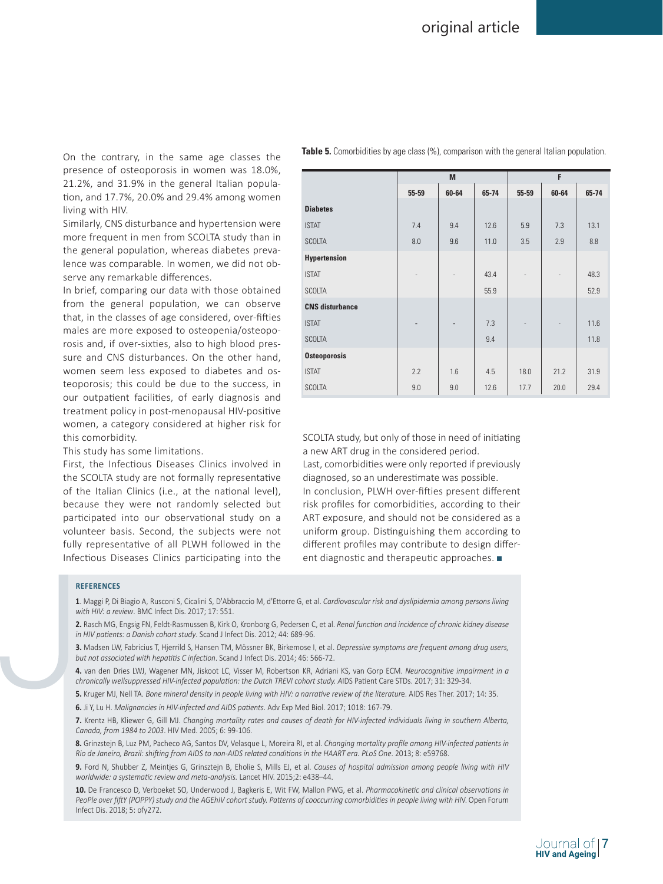On the contrary, in the same age classes the presence of osteoporosis in women was 18.0%, 21.2%, and 31.9% in the general Italian population, and 17.7%, 20.0% and 29.4% among women living with HIV.

Similarly, CNS disturbance and hypertension were more frequent in men from SCOLTA study than in the general population, whereas diabetes prevalence was comparable. In women, we did not observe any remarkable differences.

In brief, comparing our data with those obtained from the general population, we can observe that, in the classes of age considered, over-fifties males are more exposed to osteopenia/osteoporosis and, if over-sixties, also to high blood pressure and CNS disturbances. On the other hand, women seem less exposed to diabetes and osteoporosis; this could be due to the success, in our outpatient facilities, of early diagnosis and treatment policy in post-menopausal HIV-positive women, a category considered at higher risk for this comorbidity.

This study has some limitations.

First, the Infectious Diseases Clinics involved in the SCOLTA study are not formally representative of the Italian Clinics (i.e., at the national level), because they were not randomly selected but participated into our observational study on a volunteer basis. Second, the subjects were not fully representative of all PLWH followed in the Infectious Diseases Clinics participating into the

|                        | M     |                          |       | F     |                          |       |  |
|------------------------|-------|--------------------------|-------|-------|--------------------------|-------|--|
|                        | 55-59 | 60-64                    | 65-74 | 55-59 | 60-64                    | 65-74 |  |
| <b>Diabetes</b>        |       |                          |       |       |                          |       |  |
| <b>ISTAT</b>           | 7.4   | 9.4                      | 12.6  | 5.9   | 7.3                      | 13.1  |  |
| <b>SCOLTA</b>          | 8.0   | 9.6                      | 11.0  | 3.5   | 2.9                      | 8.8   |  |
| <b>Hypertension</b>    |       |                          |       |       |                          |       |  |
| <b>ISTAT</b>           |       | $\overline{\phantom{m}}$ | 43.4  |       | $\overline{\phantom{a}}$ | 48.3  |  |
| <b>SCOLTA</b>          |       |                          | 55.9  |       |                          | 52.9  |  |
| <b>CNS</b> disturbance |       |                          |       |       |                          |       |  |
| <b>ISTAT</b>           |       | -                        | 7.3   |       |                          | 11.6  |  |
| <b>SCOLTA</b>          |       |                          | 9.4   |       |                          | 11.8  |  |
| <b>Osteoporosis</b>    |       |                          |       |       |                          |       |  |
| <b>ISTAT</b>           | 2.2   | 1.6                      | 4.5   | 18.0  | 21.2                     | 31.9  |  |
| <b>SCOLTA</b>          | 9.0   | 9.0                      | 12.6  | 17.7  | 20.0                     | 29.4  |  |

**Table 5.** Comorbidities by age class (%), comparison with the general Italian population.

SCOLTA study, but only of those in need of initiating a new ART drug in the considered period.

Last, comorbidities were only reported if previously diagnosed, so an underestimate was possible. In conclusion, PLWH over-fifties present different risk profiles for comorbidities, according to their ART exposure, and should not be considered as a uniform group. Distinguishing them according to different profiles may contribute to design different diagnostic and therapeutic approaches.

#### **REFERENCES**

**1**. Maggi P, Di Biagio A, Rusconi S, Cicalini S, D'Abbraccio M, d'Ettorre G, et al. *Cardiovascular risk and dyslipidemia among persons living with HIV: a review*. BMC Infect Dis. 2017; 17: 551.

**2.** Rasch MG, Engsig FN, Feldt-Rasmussen B, Kirk O, Kronborg G, Pedersen C, et al. *Renal function and incidence of chronic kidney disease in HIV patients: a Danish cohort study*. Scand J Infect Dis. 2012; 44: 689-96.

**3.** Madsen LW, Fabricius T, Hjerrild S, Hansen TM, Mössner BK, Birkemose I, et al. *Depressive symptoms are frequent among drug users, but not associated with hepatitis C infection*. Scand J Infect Dis. 2014; 46: 566-72.

**4.** van den Dries LWJ, Wagener MN, Jiskoot LC, Visser M, Robertson KR, Adriani KS, van Gorp ECM. *Neurocognitive impairment in a chronically wellsuppressed HIV-infected population: the Dutch TREVI cohort study. A*IDS Patient Care STDs. 2017; 31: 329-34.

**5.** Kruger MJ, Nell TA. *Bone mineral density in people living with HIV: a narrative review of the literatur*e. AIDS Res Ther. 2017; 14: 35.

**6.** Ji Y, Lu H. *Malignancies in HIV-infected and AIDS patients*. Adv Exp Med Biol. 2017; 1018: 167-79.

**7.** Krentz HB, Kliewer G, Gill MJ. *Changing mortality rates and causes of death for HIV-infected individuals living in southern Alberta, Canada, from 1984 to 2003*. HIV Med. 2005; 6: 99-106.

**8.** Grinzstejn B, Luz PM, Pacheco AG, Santos DV, Velasque L, Moreira RI, et al. *Changing mortality profile among HIV-infected patients in Rio de Janeiro, Brazil: shifting from AIDS to non-AIDS related conditions in the HAART era. PLoS One*. 2013; 8: e59768.

**9.** Ford N, Shubber Z, Meintjes G, Grinsztejn B, Eholie S, Mills EJ, et al. *Causes of hospital admission among people living with HIV worldwide: a systematic review and meta-analysis.* Lancet HIV. 2015;2: e438–44.

**10.** De Francesco D, Verboeket SO, Underwood J, Bagkeris E, Wit FW, Mallon PWG, et al. *Pharmacokinetic and clinical observations in PeoPle over fiftY (POPPY) study and the AGEhIV cohort study. Patterns of cooccurring comorbidities in people living with HI*V. Open Forum Infect Dis. 2018; 5: ofy272.